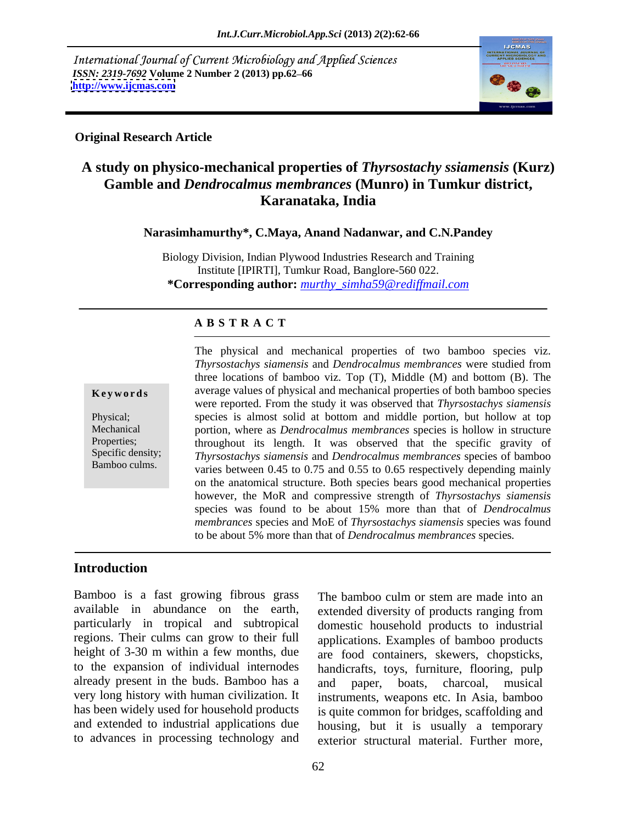International Journal of Current Microbiology and Applied Sciences *ISSN: 2319-7692* **Volume 2 Number 2 (2013) pp.62–66 http://www.ijcmas.com <http://www.ijcmas.com>**



### **Original Research Article**

# **A study on physico-mechanical properties of** *Thyrsostachy ssiamensis* **(Kurz) Gamble and** *Dendrocalmus membrances* **(Munro) in Tumkur district, Karanataka, India**

**Narasimhamurthy\*, C.Maya, Anand Nadanwar, and C.N.Pandey** 

Biology Division, Indian Plywood Industries Research and Training Institute [IPIRTI], Tumkur Road, Banglore-560 022. **\*Corresponding author:** *murthy\_simha59@rediffmail.com*

### **A B S T R A C T**

nowever, the MOK and compressive strength of *Inyrsosiachys stamensis*<br>species was found to be about 15% more than that of *Dendrocalmus* **Keywords** average values of physical and mechanical properties of both bamboo species Physical; species is almost solid at bottom and middle portion, but hollow at top Mechanical portion, where as *Dendrocalmus membrances* species is hollow in structure Properties; throughout its length. It was observed that the specific gravity of Specific density; *Thyrsostachys siamensis* and *Dendrocalmus membrances* species of bamboo The physical and mechanical properties of two bamboo species viz.<br> *Thyrsostachys siamensis* and *Dendrocalmus membrances* were studied from<br>
three locations of bamboo viz. Top (T), Middle (M) and bottom (B). The<br>
average three locations of bamboo viz. Top (T), Middle (M) and bottom (B). The were reported. From the study it was observed that *Thyrsostachys siamensis* varies between 0.45 to 0.75 and 0.55 to 0.65 respectively depending mainly on the anatomical structure. Both species bears good mechanical properties however, the MoR and compressive strength of *Thyrsostachys siamensis membrances* species and MoE of *Thyrsostachys siamensis* species was found to be about 5% more than that of *Dendrocalmus membrances* species*.* 

### **Introduction**

Bamboo is a fast growing fibrous grass The bamboo culm or stem are made into an available in abundance on the earth, extended diversity of products ranging from particularly in tropical and subtropical domestic household products to industrial regions. Their culms can grow to their full applications. Examples of bamboo products height of 3-30 m within a few months, due are food containers, skewers, chopsticks, to the expansion of individual internodes already present in the buds. Bamboo has a and paper, boats, charcoal, musical very long history with human civilization. It has been widely used for household products and extended to industrial applications due housing, but it is usually a temporary

to advances in processing technology and exterior structural material. Further more, The bamboo culm or stem are made into an handicrafts, toys, furniture, flooring, pulp and paper, boats, charcoal, musical instruments, weapons etc. In Asia, bamboo is quite common for bridges, scaffolding and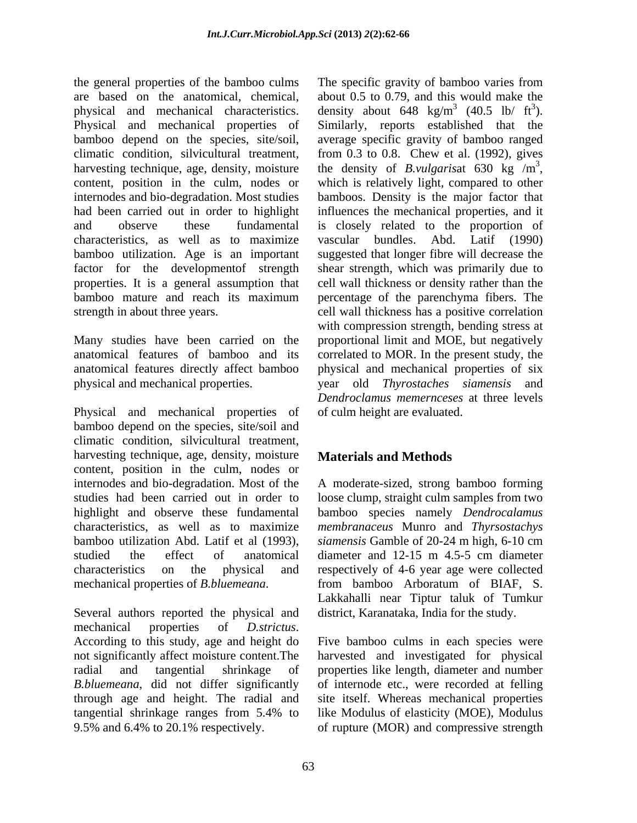the general properties of the bamboo culms The specific gravity of bamboo varies from are based on the anatomical, chemical, about 0.5 to 0.79, and this would make the physical and mechanical characteristics. density about  $648 \text{ kg/m}^3$  (40.5 lb/ ft<sup>3</sup>). Physical and mechanical properties of Similarly, reports established that the bamboo depend on the species, site/soil, average specific gravity of bamboo ranged climatic condition, silvicultural treatment, from 0.3 to 0.8. Chew et al. (1992), gives harvesting technique, age, density, moisture the density of *B.vulgarisat* 630 kg /m<sup>3</sup>, content, position in the culm, nodes or which is relatively light, compared to other internodes and bio-degradation. Most studies bamboos. Density is the major factor that had been carried out in order to highlight influences the mechanical properties, and it and observe these fundamental is closely related to the proportion of characteristics, as well as to maximize bamboo utilization. Age is an important suggested that longer fibre will decrease the factor for the developmentof strength shear strength, which was primarily due to properties. It is a general assumption that bamboo mature and reach its maximum percentage of the parenchyma fibers. The strength in about three years. cell wall thickness has a positive correlation

Physical and mechanical properties of bamboo depend on the species, site/soil and climatic condition, silvicultural treatment,<br>harvesting technique, age, density, moisture **Materials and Methods** content, position in the culm, nodes or internodes and bio-degradation. Most of the A moderate-sized, strong bamboo forming studies had been carried out in order to loose clump, straight culm samples from two highlight and observe these fundamental bamboo species namely *Dendrocalamus* characteristics, as well as to maximize *membranaceus* Munro and *Thyrsostachys* bamboo utilization Abd. Latif et al (1993), *siamensis* Gamble of 20-24 m high, 6-10 cm studied the effect of anatomical diameter and 12-15 m 4.5-5 cm diameter characteristics on the physical and respectively of 4-6 yearage were collected

mechanical properties of *D.strictus*.<br>According to this study, age and height do Five bamboo culms in each species were not significantly affect moisture content.The radial and tangential shrinkage of properties like length, diameter and number *B.bluemeana*, did not differ significantly of internode etc., were recorded at felling through age and height. The radial and site itself. Whereas mechanical properties tangential shrinkage ranges from 5.4% to

Many studies have been carried on the proportional limit and MOE, but negatively anatomical features of bamboo and its correlated to MOR. In the present study, the anatomical features directly affect bamboo physical and mechanical properties of six physical and mechanical properties. year old *Thyrostaches siamensis* and  $3(40.5 \text{ lb}/\text{ ft}^3)$  $(40.5 \text{ lb/ ft}^3).$ ). from 0.3 to 0.8. Chew et al. (1992), gives the density of *B.vulgarisat* 630 kg  $/m^3$ , 3 the density of *B.vulgarisat* 630 kg  $/m^3$ , which is relatively light, compared to other vascular bundles. Abd. Latif (1990) cell wall thickness or density rather than the with compression strength, bending stress at *Dendroclamus memernceses* at three levels of culm height are evaluated.

## **Materials and Methods**

mechanical properties of *B.bluemeana*. Several authors reported the physical and district, Karanataka, India for the study. *siamensis* Gamble of 20-24 m high, 6-10 cm diameter and 12-15 m 4.5-5 cm diameter from bamboo Arboratum of BIAF, S. Lakkahalli near Tiptur taluk of Tumkur district, Karanataka, India for the study.

9.5% and 6.4% to 20.1% respectively. of rupture (MOR) and compressive strengthFive bamboo culms in each species were harvested and investigated for physical like Modulus of elasticity (MOE), Modulus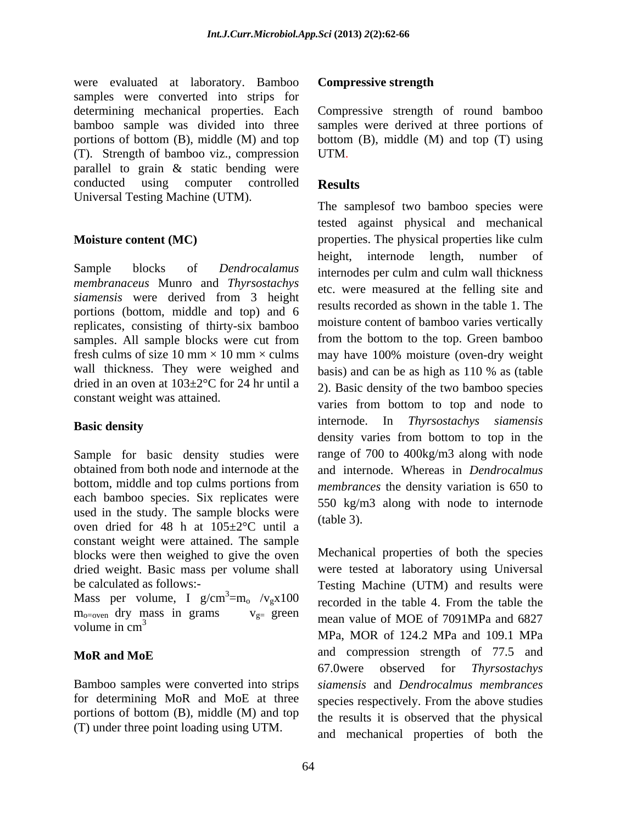were evaluated at laboratory. Bamboo **Compressive strength** samples were converted into strips for determining mechanical properties. Each bamboo sample was divided into three samples were derived at three portions of portions of bottom (B), middle (M) and top bottom (B), middle (M) and top (T) using (T). Strength of bamboo viz., compression parallel to grain & static bending were conducted using computer controlled **Results** Universal Testing Machine (UTM).

Sample blocks of *Dendrocalamus*  internodes per culm and culm wall thickness *membranaceus* Munro and *Thyrsostachys siamensis* were derived from 3 height portions (bottom, middle and top) and 6 replicates, consisting of thirty-six bamboo samples. All sample blocks were cut from from the bottom to the top. Green bamboo fresh culms of size 10 mm  $\times$  10 mm  $\times$  culms may have 100% moisture (oven-dry weight wall thickness. They were weighed and basis) and can be as high as 110 % as (table dried in an oven at 103±2°C for 24 hr until a

Sample for basic density studies were obtained from both node and internode at the and internode. Whereas in *Dendrocalmus* bottom, middle and top culms portions from each bamboo species. Six replicates were used in the study. The sample blocks were  $(table 3)$ . oven dried for 48 h at 105±2°C until a constant weight were attained. The sample blocks were then weighed to give the oven dried weight. Basic mass per volume shall were tested at laboratory using Universal

Mass per volume, I g/cm<sup>3</sup>=m<sub>o</sub> /v<sub>g</sub>x100

Bamboo samples were converted into strips siamensis and Dendrocalmus membrances for determining MoR and MoE at three species respectively. From the above studies portions of bottom (B), middle (M) and top (T) under three point loading using UTM.

### **Compressive strength**

Compressive strength of round bamboo UTM.

## **Results**

**Moisture content (MC)** example properties. The physical properties like culm constant weight was attained. varies from bottom to top and node to **Basic density Basic density Example 2018 Basic density Basic density** The samplesof two bamboo species were tested against physical and mechanical height, internode length, number of etc. were measured at the felling site and results recorded as shown in the table 1. The moisture content of bamboo varies vertically from the bottom to the top. Green bamboo 2). Basic density of the two bamboo species internode. In *Thyrsostachys siamensis* density varies from bottom to top in the range of 700 to 400kg/m3 along with node *membrances* the density variation is 650 to 550 kg/m3 along with node to internode (table 3).

be calculated as follows:-<br>
Testing Machine (UTM) and results were recorded in the table 4. From the table the  $m_{\text{o=oven}}$  dry mass in grams  $v_{\text{g=}}$  green mean value of MOE of 7091MPa and 6827 volume in  $\text{cm}^3$   $\text{MDP}$   $\text{MOP}$   $\text{MOP}$   $\text{MOP}$   $\text{MOP}$   $\text{MOP}$   $\text{MOP}$   $\text{MOP}$   $\text{MOP}$   $\text{MOP}$   $\text{MOP}$   $\text{MOP}$   $\text{MOP}$   $\text{MOP}$   $\text{MOP}$   $\text{MOP}$   $\text{MOP}$   $\text{MOP}$   $\text{MOP}$   $\text{MOP}$   $\text{MOP}$   $\text{MOP}$   $\text$ MoR and MoE and compression strength of  $1/3$  and  $\alpha$  and  $\alpha$  and  $\alpha$  and  $\alpha$  and  $\alpha$ Mechanical properties of both the species recorded in the table 4. From the table the MPa, MOR of 124.2 MPa and 109.1 MPa and compression strength of 77.5 and 67.0were observed for *Thyrsostachys siamensis* and *Dendrocalmus membrances* species respectively. From the above studies the results it is observed that the physical and mechanical properties of both the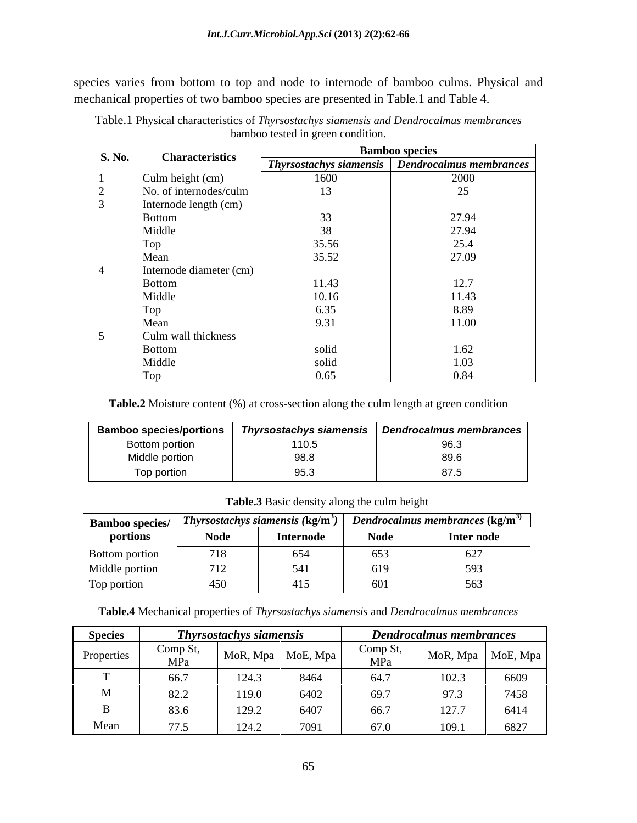species varies from bottom to top and node to internode of bamboo culms. Physical and mechanical properties of two bamboo species are presented in Table.1 and Table 4.

|        |                         | <b>Bamboo species</b> |                                                   |  |
|--------|-------------------------|-----------------------|---------------------------------------------------|--|
| S. No. | <b>Characteristics</b>  |                       | Thyrsostachys siamensis   Dendrocalmus membrances |  |
|        | Culm height (cm)        | 1600                  | 2000                                              |  |
|        | No. of internodes/culm  | 13                    | 25                                                |  |
|        | Internode length (cm)   |                       |                                                   |  |
|        | <b>Bottom</b>           | $\sim$<br>JJ.         | 27.94                                             |  |
|        | Middle                  | $\sim$<br>J0          | 27.94                                             |  |
|        | Top                     | 35.56                 | 25.4                                              |  |
|        | Mean                    | 35.52                 | 27.09                                             |  |
|        | Internode diameter (cm) |                       |                                                   |  |
|        | Bottom                  | 11.43                 | 12.7                                              |  |
|        | Middle                  | 10.16                 | 11.43                                             |  |
|        | Top                     | 6.35                  | 8.89                                              |  |
|        | Mean                    | 9.31                  | 11.00                                             |  |
|        | Culm wall thickness     |                       |                                                   |  |
|        | <b>Bottom</b>           | solid                 | 1.62                                              |  |
|        | Middle                  | solid                 | 1.03                                              |  |
|        | Top                     | 0.65                  | 0.84                                              |  |

Table.1 Physical characteristics of *Thyrsostachys siamensis and Dendrocalmus membrances* bamboo tested in green condition.

**Table.2** Moisture content (%) at cross-section along the culm length at green condition

| <b>Bamboo species/portions</b> | -                                           | Thyrsostachys siamensis   Dendrocalmus membrances |
|--------------------------------|---------------------------------------------|---------------------------------------------------|
| Bottom portion                 | $\lambda$ $\lambda$ $\cap$ $\Gamma$<br>ט.טו | $\sim$ $\sim$<br>---                              |
| Middle portion                 | ວບ.ບ                                        | $\sim$ $\sim$ $\sim$<br>റൗ<br>$\ddotsc$           |
| Top portion                    |                                             | o i                                               |

**Table.3** Basic density along the culm height

| <b>Bamboo species/</b> |                     | $_{\rm s/}$   Thyrsostachys siamensis (kg/m <sup>3</sup> ) | <i>Dendrocalmus membrances</i> (kg/m <sup>3)</sup> |            |
|------------------------|---------------------|------------------------------------------------------------|----------------------------------------------------|------------|
| portions               | Node                | Internode                                                  | <b>Node</b>                                        | Inter node |
| Bottom portion         | 718                 | $\epsilon$<br>. UJ-                                        | 653                                                | $U \sim$   |
| Middle portion         | 710<br>$\perp$      |                                                            | 01 Y                                               | 393.       |
| Top portion            | $1 - \alpha$<br>450 | 415                                                        | 60 L                                               | 563        |

**Table.4** Mechanical properties of *Thyrsostachys siamensis* and *Dendrocalmus membrances*

| <b>Species</b> | <b>CONT</b><br><b>Thyrsostachys siamensis</b> |              |          | <b>Dendrocalmus membrances</b> |                         |          |
|----------------|-----------------------------------------------|--------------|----------|--------------------------------|-------------------------|----------|
| Properties     | √omn St<br>- --<br>MPa                        | MoR, Mpa     | MoE, Mpa | Comp $S^*$<br>MPa              | $M_0R$ , Mpa            | MoE, Mpa |
|                | 66.7                                          | 101          | 8464     | 617                            | 102 <sup>2</sup>        | 6609     |
|                | $\circ$ $\circ$<br>04.4                       | 1100         | 6402     | 69.7                           | 072                     | 7458     |
|                | 83.6                                          | 120<br>141.4 | 6407     | 66.7                           | 127 <sup>2</sup><br>1/1 | 6414     |
|                | $\Box \Box$                                   | 101          | 7091     | 670                            | 1001<br>1177.1          | 6827     |